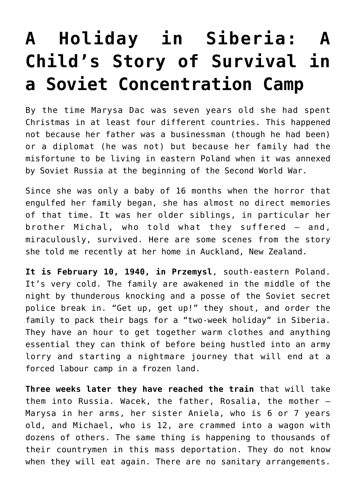## **[A Holiday in Siberia: A](https://intellectualtakeout.org/2017/12/a-holiday-in-siberia-a-childs-story-of-survival-in-a-soviet-concentration-camp/) [Child's Story of Survival in](https://intellectualtakeout.org/2017/12/a-holiday-in-siberia-a-childs-story-of-survival-in-a-soviet-concentration-camp/) [a Soviet Concentration Camp](https://intellectualtakeout.org/2017/12/a-holiday-in-siberia-a-childs-story-of-survival-in-a-soviet-concentration-camp/)**

By the time Marysa Dac was seven years old she had spent Christmas in at least four different countries. This happened not because her father was a businessman (though he had been) or a diplomat (he was not) but because her family had the misfortune to be living in eastern Poland when it was annexed by Soviet Russia at the beginning of the Second World War.

Since she was only a baby of 16 months when the horror that engulfed her family began, she has almost no direct memories of that time. It was her older siblings, in particular her brother Michal, who told what they suffered – and, miraculously, survived. Here are some scenes from the story she told me recently at her home in Auckland, New Zealand.

**It is February 10, 1940, in Przemysl**, south-eastern Poland. It's very cold. The family are awakened in the middle of the night by thunderous knocking and a posse of the Soviet secret police break in. "Get up, get up!" they shout, and order the family to pack their bags for a "two-week holiday" in Siberia. They have an hour to get together warm clothes and anything essential they can think of before being hustled into an army lorry and starting a nightmare journey that will end at a forced labour camp in a frozen land.

**Three weeks later they have reached the train** that will take them into Russia. Wacek, the father, Rosalia, the mother — Marysa in her arms, her sister Aniela, who is 6 or 7 years old, and Michael, who is 12, are crammed into a wagon with dozens of others. The same thing is happening to thousands of their countrymen in this mass deportation. They do not know when they will eat again. There are no sanitary arrangements.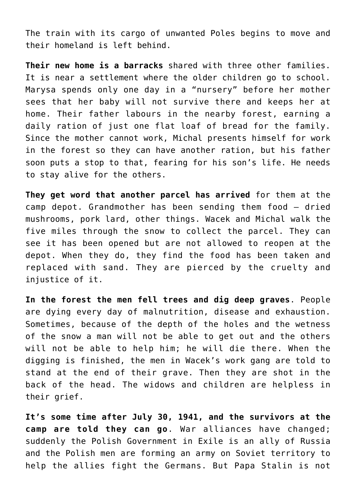The train with its cargo of unwanted Poles begins to move and their homeland is left behind.

**Their new home is a barracks** shared with three other families. It is near a settlement where the older children go to school. Marysa spends only one day in a "nursery" before her mother sees that her baby will not survive there and keeps her at home. Their father labours in the nearby forest, earning a daily ration of just one flat loaf of bread for the family. Since the mother cannot work, Michal presents himself for work in the forest so they can have another ration, but his father soon puts a stop to that, fearing for his son's life. He needs to stay alive for the others.

**They get word that another parcel has arrived** for them at the camp depot. Grandmother has been sending them food – dried mushrooms, pork lard, other things. Wacek and Michal walk the five miles through the snow to collect the parcel. They can see it has been opened but are not allowed to reopen at the depot. When they do, they find the food has been taken and replaced with sand. They are pierced by the cruelty and injustice of it.

**In the forest the men fell trees and dig deep graves**. People are dying every day of malnutrition, disease and exhaustion. Sometimes, because of the depth of the holes and the wetness of the snow a man will not be able to get out and the others will not be able to help him; he will die there. When the digging is finished, the men in Wacek's work gang are told to stand at the end of their grave. Then they are shot in the back of the head. The widows and children are helpless in their grief.

**It's some time after July 30, 1941, and the survivors at the camp are told they can go**. War alliances have changed; suddenly the Polish Government in Exile is an ally of Russia and the Polish men are forming an army on Soviet territory to help the allies fight the Germans. But Papa Stalin is not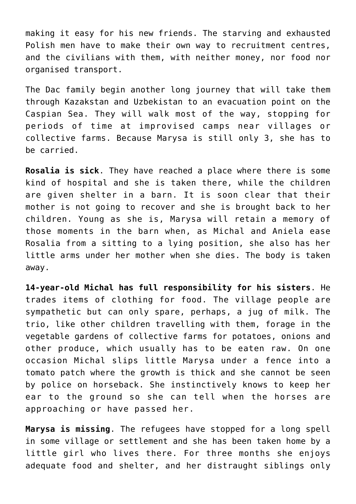making it easy for his new friends. The starving and exhausted Polish men have to make their own way to recruitment centres, and the civilians with them, with neither money, nor food nor organised transport.

The Dac family begin another long journey that will take them through Kazakstan and Uzbekistan to an evacuation point on the Caspian Sea. They will walk most of the way, stopping for periods of time at improvised camps near villages or collective farms. Because Marysa is still only 3, she has to be carried.

**Rosalia is sick**. They have reached a place where there is some kind of hospital and she is taken there, while the children are given shelter in a barn. It is soon clear that their mother is not going to recover and she is brought back to her children. Young as she is, Marysa will retain a memory of those moments in the barn when, as Michal and Aniela ease Rosalia from a sitting to a lying position, she also has her little arms under her mother when she dies. The body is taken away.

**14-year-old Michal has full responsibility for his sisters**. He trades items of clothing for food. The village people are sympathetic but can only spare, perhaps, a jug of milk. The trio, like other children travelling with them, forage in the vegetable gardens of collective farms for potatoes, onions and other produce, which usually has to be eaten raw. On one occasion Michal slips little Marysa under a fence into a tomato patch where the growth is thick and she cannot be seen by police on horseback. She instinctively knows to keep her ear to the ground so she can tell when the horses are approaching or have passed her.

**Marysa is missing**. The refugees have stopped for a long spell in some village or settlement and she has been taken home by a little girl who lives there. For three months she enjoys adequate food and shelter, and her distraught siblings only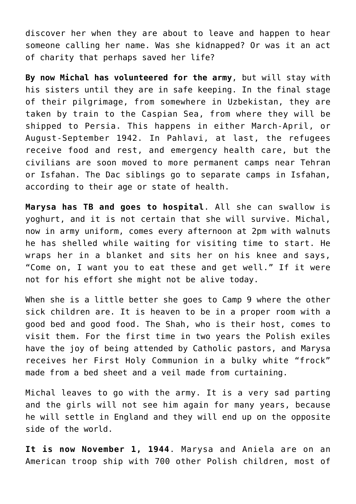discover her when they are about to leave and happen to hear someone calling her name. Was she kidnapped? Or was it an act of charity that perhaps saved her life?

**By now Michal has volunteered for the army**, but will stay with his sisters until they are in safe keeping. In the final stage of their pilgrimage, from somewhere in Uzbekistan, they are taken by train to the Caspian Sea, from where they will be shipped to Persia. This happens in either March-April, or August-September 1942. In Pahlavi, at last, the refugees receive food and rest, and emergency health care, but the civilians are soon moved to more permanent camps near Tehran or Isfahan. The Dac siblings go to separate camps in Isfahan, according to their age or state of health.

**Marysa has TB and goes to hospital**. All she can swallow is yoghurt, and it is not certain that she will survive. Michal, now in army uniform, comes every afternoon at 2pm with walnuts he has shelled while waiting for visiting time to start. He wraps her in a blanket and sits her on his knee and says, "Come on, I want you to eat these and get well." If it were not for his effort she might not be alive today.

When she is a little better she goes to Camp 9 where the other sick children are. It is heaven to be in a proper room with a good bed and good food. The Shah, who is their host, comes to visit them. For the first time in two years the Polish exiles have the joy of being attended by Catholic pastors, and Marysa receives her First Holy Communion in a bulky white "frock" made from a bed sheet and a veil made from curtaining.

Michal leaves to go with the army. It is a very sad parting and the girls will not see him again for many years, because he will settle in England and they will end up on the opposite side of the world.

**It is now November 1, 1944**. Marysa and Aniela are on an American troop ship with 700 other Polish children, most of